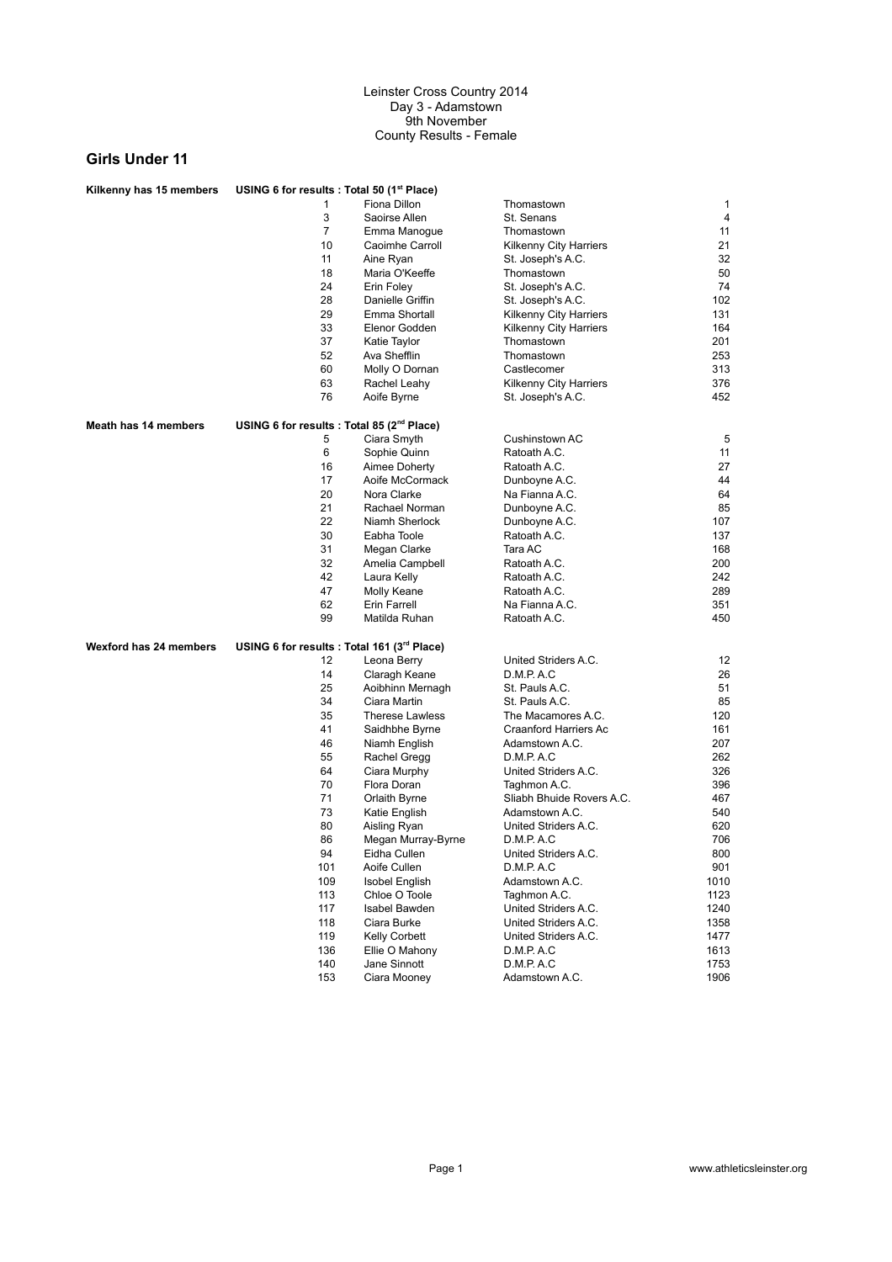| Kilkenny has 15 members     | USING 6 for results : Total 50 (1 <sup>st</sup> Place) |                        |                           |      |
|-----------------------------|--------------------------------------------------------|------------------------|---------------------------|------|
|                             | 1                                                      | Fiona Dillon           | Thomastown                | 1    |
|                             | 3                                                      | Saoirse Allen          | St. Senans                | 4    |
|                             | 7                                                      | Emma Manogue           | Thomastown                | 11   |
|                             | 10                                                     | Caoimhe Carroll        | Kilkenny City Harriers    | 21   |
|                             | 11                                                     | Aine Ryan              | St. Joseph's A.C.         | 32   |
|                             | 18                                                     | Maria O'Keeffe         | Thomastown                | 50   |
|                             | 24                                                     | Erin Foley             |                           | 74   |
|                             |                                                        |                        | St. Joseph's A.C.         |      |
|                             | 28                                                     | Danielle Griffin       | St. Joseph's A.C.         | 102  |
|                             | 29                                                     | Emma Shortall          | Kilkenny City Harriers    | 131  |
|                             | 33                                                     | Elenor Godden          | Kilkenny City Harriers    | 164  |
|                             | 37                                                     | Katie Taylor           | Thomastown                | 201  |
|                             | 52                                                     | Ava Shefflin           | Thomastown                | 253  |
|                             | 60                                                     | Molly O Dornan         | Castlecomer               | 313  |
|                             | 63                                                     | Rachel Leahy           | Kilkenny City Harriers    | 376  |
|                             | 76                                                     | Aoife Byrne            | St. Joseph's A.C.         | 452  |
| <b>Meath has 14 members</b> | USING 6 for results : Total 85 (2 <sup>nd</sup> Place) |                        |                           |      |
|                             | 5                                                      | Ciara Smyth            | Cushinstown AC            | 5    |
|                             | 6                                                      | Sophie Quinn           | Ratoath A.C.              | 11   |
|                             | 16                                                     | Aimee Doherty          | Ratoath A.C.              | 27   |
|                             | 17                                                     | Aoife McCormack        | Dunboyne A.C.             | 44   |
|                             | 20                                                     | Nora Clarke            | Na Fianna A.C.            | 64   |
|                             | 21                                                     | Rachael Norman         | Dunboyne A.C.             | 85   |
|                             | 22                                                     | Niamh Sherlock         |                           | 107  |
|                             | 30                                                     |                        | Dunboyne A.C.             | 137  |
|                             |                                                        | Eabha Toole            | Ratoath A.C.              |      |
|                             | 31                                                     | Megan Clarke           | Tara AC                   | 168  |
|                             | 32                                                     | Amelia Campbell        | Ratoath A.C.              | 200  |
|                             | 42                                                     | Laura Kelly            | Ratoath A.C.              | 242  |
|                             | 47                                                     | Molly Keane            | Ratoath A.C.              | 289  |
|                             | 62                                                     | Erin Farrell           | Na Fianna A.C.            | 351  |
|                             | 99                                                     | Matilda Ruhan          | Ratoath A.C.              | 450  |
| Wexford has 24 members      | USING 6 for results : Total 161 (3rd Place)            |                        |                           |      |
|                             | 12                                                     | Leona Berry            | United Striders A.C.      | 12   |
|                             | 14                                                     | Claragh Keane          | D.M.P.A.C                 | 26   |
|                             | 25                                                     | Aoibhinn Mernagh       | St. Pauls A.C.            | 51   |
|                             | 34                                                     | Ciara Martin           | St. Pauls A.C.            | 85   |
|                             | 35                                                     | <b>Therese Lawless</b> | The Macamores A.C.        | 120  |
|                             | 41                                                     | Saidhbhe Byrne         | Craanford Harriers Ac     | 161  |
|                             | 46                                                     | Niamh English          | Adamstown A.C.            | 207  |
|                             | 55                                                     | Rachel Gregg           | D.M.P.A.C                 | 262  |
|                             | 64                                                     |                        | United Striders A.C.      | 326  |
|                             |                                                        | Ciara Murphy           |                           |      |
|                             | 70                                                     | Flora Doran            | Taghmon A.C.              | 396  |
|                             | 71                                                     | Orlaith Byrne          | Sliabh Bhuide Rovers A.C. | 467  |
|                             | 73                                                     | Katie English          | Adamstown A.C.            | 540  |
|                             | 80                                                     | Aisling Ryan           | United Striders A.C.      | 620  |
|                             | 86                                                     | Megan Murray-Byrne     | D.M.P.A.C                 | 706  |
|                             | 94                                                     | Eidha Cullen           | United Striders A.C.      | 800  |
|                             | 101                                                    | Aoife Cullen           | D.M.P. A.C                | 901  |
|                             | 109                                                    | <b>Isobel English</b>  | Adamstown A.C.            | 1010 |
|                             | 113                                                    | Chloe O Toole          | Taghmon A.C.              | 1123 |
|                             | 117                                                    | Isabel Bawden          | United Striders A.C.      | 1240 |
|                             | 118                                                    | Ciara Burke            | United Striders A.C.      | 1358 |
|                             | 119                                                    | Kelly Corbett          | United Striders A.C.      | 1477 |
|                             | 136                                                    | Ellie O Mahony         | D.M.P.A.C                 | 1613 |
|                             | 140                                                    | Jane Sinnott           | D.M.P. A.C                | 1753 |
|                             | 153                                                    | Ciara Mooney           | Adamstown A.C.            | 1906 |
|                             |                                                        |                        |                           |      |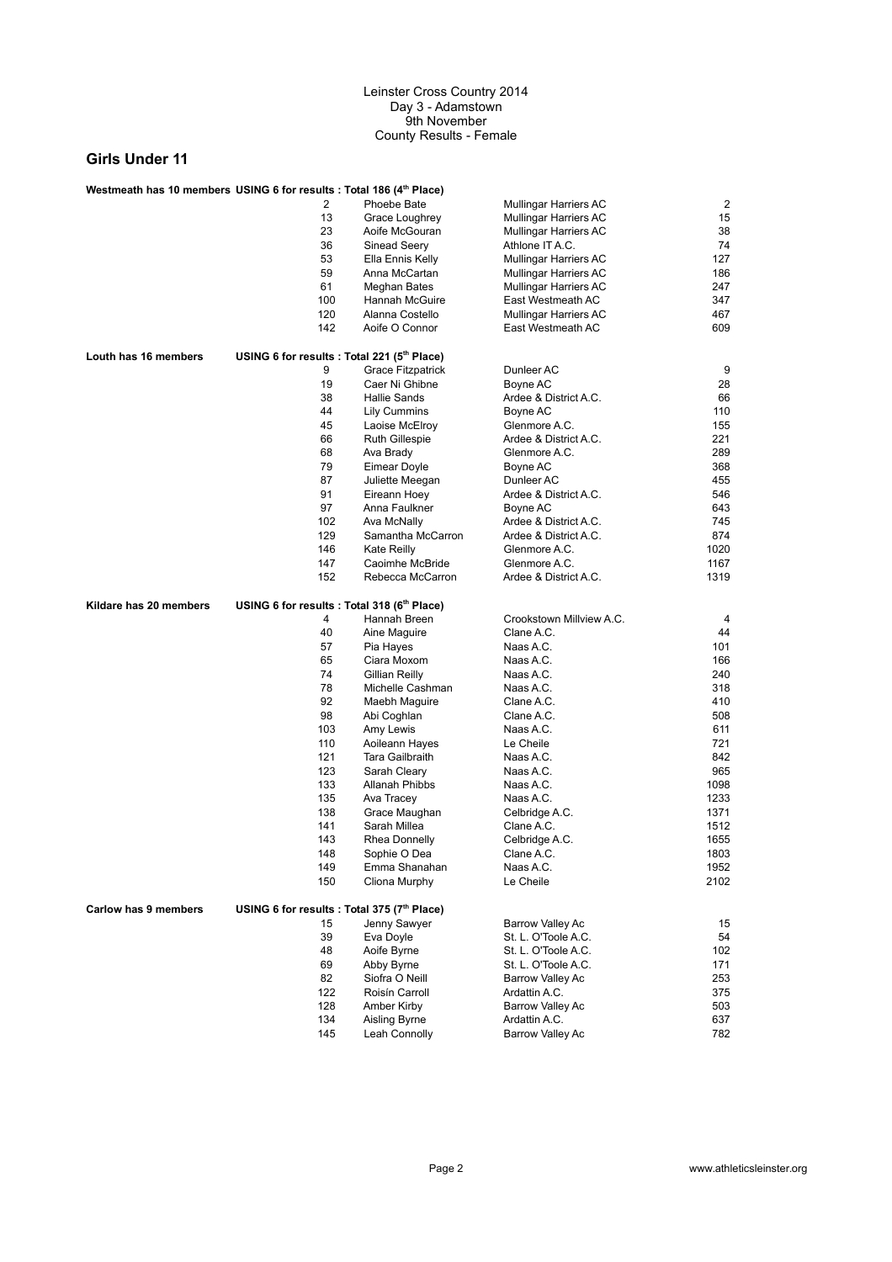| Westmeath has 10 members USING 6 for results : Total 186 (4th Place) |                                             |                          |                          |      |
|----------------------------------------------------------------------|---------------------------------------------|--------------------------|--------------------------|------|
|                                                                      | 2                                           | Phoebe Bate              | Mullingar Harriers AC    | 2    |
|                                                                      | 13                                          | Grace Loughrey           | Mullingar Harriers AC    | 15   |
|                                                                      | 23                                          | Aoife McGouran           | Mullingar Harriers AC    | 38   |
|                                                                      | 36                                          | Sinead Seery             | Athlone IT A.C.          | 74   |
|                                                                      | 53                                          | Ella Ennis Kelly         | Mullingar Harriers AC    | 127  |
|                                                                      | 59                                          | Anna McCartan            | Mullingar Harriers AC    | 186  |
|                                                                      | 61                                          | Meghan Bates             | Mullingar Harriers AC    | 247  |
|                                                                      | 100                                         | Hannah McGuire           | East Westmeath AC        | 347  |
|                                                                      | 120                                         | Alanna Costello          | Mullingar Harriers AC    | 467  |
|                                                                      | 142                                         | Aoife O Connor           | East Westmeath AC        | 609  |
| Louth has 16 members                                                 | USING 6 for results : Total 221 (5th Place) |                          |                          |      |
|                                                                      | 9                                           | <b>Grace Fitzpatrick</b> | Dunleer AC               | 9    |
|                                                                      | 19                                          | Caer Ni Ghibne           | Boyne AC                 | 28   |
|                                                                      | 38                                          | Hallie Sands             | Ardee & District A.C.    | 66   |
|                                                                      | 44                                          | <b>Lily Cummins</b>      | Boyne AC                 | 110  |
|                                                                      | 45                                          | Laoise McElroy           | Glenmore A.C.            | 155  |
|                                                                      | 66                                          | <b>Ruth Gillespie</b>    | Ardee & District A.C.    | 221  |
|                                                                      | 68                                          | Ava Brady                | Glenmore A.C.            | 289  |
|                                                                      | 79                                          | Eimear Doyle             | Boyne AC                 | 368  |
|                                                                      | 87                                          | Juliette Meegan          | Dunleer AC               | 455  |
|                                                                      | 91                                          | Eireann Hoey             | Ardee & District A.C.    | 546  |
|                                                                      | 97                                          | Anna Faulkner            | Boyne AC                 | 643  |
|                                                                      | 102                                         | Ava McNally              | Ardee & District A.C.    | 745  |
|                                                                      | 129                                         | Samantha McCarron        | Ardee & District A.C.    | 874  |
|                                                                      | 146                                         | Kate Reilly              | Glenmore A.C.            | 1020 |
|                                                                      | 147                                         | Caoimhe McBride          | Glenmore A.C.            | 1167 |
|                                                                      | 152                                         | Rebecca McCarron         | Ardee & District A.C.    | 1319 |
|                                                                      |                                             |                          |                          |      |
| Kildare has 20 members                                               | USING 6 for results : Total 318 (6th Place) |                          |                          |      |
|                                                                      | 4                                           | Hannah Breen             | Crookstown Millview A.C. | 4    |
|                                                                      | 40                                          | Aine Maguire             | Clane A.C.               | 44   |
|                                                                      | 57                                          | Pia Hayes                | Naas A.C.                | 101  |
|                                                                      | 65                                          | Ciara Moxom              | Naas A.C.                | 166  |
|                                                                      | 74                                          | Gillian Reilly           | Naas A.C.                | 240  |
|                                                                      | 78                                          | Michelle Cashman         | Naas A.C.                | 318  |
|                                                                      | 92                                          | Maebh Maguire            | Clane A.C.               | 410  |
|                                                                      | 98                                          | Abi Coghlan              | Clane A.C.               | 508  |
|                                                                      | 103                                         | Amy Lewis                | Naas A.C.                | 611  |
|                                                                      | 110                                         | Aoileann Hayes           | Le Cheile                | 721  |
|                                                                      | 121                                         | Tara Gailbraith          | Naas A.C.                | 842  |
|                                                                      | 123                                         | Sarah Cleary             | Naas A.C.                | 965  |
|                                                                      | 133                                         | <b>Allanah Phibbs</b>    | Naas A.C.                | 1098 |
|                                                                      | 135                                         | Ava Tracey               | Naas A.C.                | 1233 |
|                                                                      | 138                                         | Grace Maughan            | Celbridge A.C.           | 1371 |
|                                                                      | 141                                         | Sarah Millea             | Clane A.C.               | 1512 |
|                                                                      | 143                                         | Rhea Donnelly            | Celbridge A.C.           | 1655 |
|                                                                      | 148                                         | Sophie O Dea             | Clane A.C.               | 1803 |
|                                                                      | 149                                         | Emma Shanahan            | Naas A.C.                | 1952 |
|                                                                      | 150                                         | Cliona Murphy            | Le Cheile                | 2102 |
| Carlow has 9 members                                                 | USING 6 for results : Total 375 (7th Place) |                          |                          |      |
|                                                                      | 15                                          | Jenny Sawyer             | <b>Barrow Valley Ac</b>  | 15   |
|                                                                      | 39                                          | Eva Doyle                | St. L. O'Toole A.C.      | 54   |
|                                                                      | 48                                          | Aoife Byrne              | St. L. O'Toole A.C.      | 102  |
|                                                                      | 69                                          | Abby Byrne               | St. L. O'Toole A.C.      | 171  |
|                                                                      | 82                                          | Siofra O Neill           | <b>Barrow Valley Ac</b>  | 253  |
|                                                                      | 122                                         | Roisín Carroll           | Ardattin A.C.            | 375  |
|                                                                      | 128                                         | Amber Kirby              | <b>Barrow Valley Ac</b>  | 503  |
|                                                                      | 134                                         | Aisling Byrne            | Ardattin A.C.            | 637  |
|                                                                      | 145                                         | Leah Connolly            | Barrow Valley Ac         | 782  |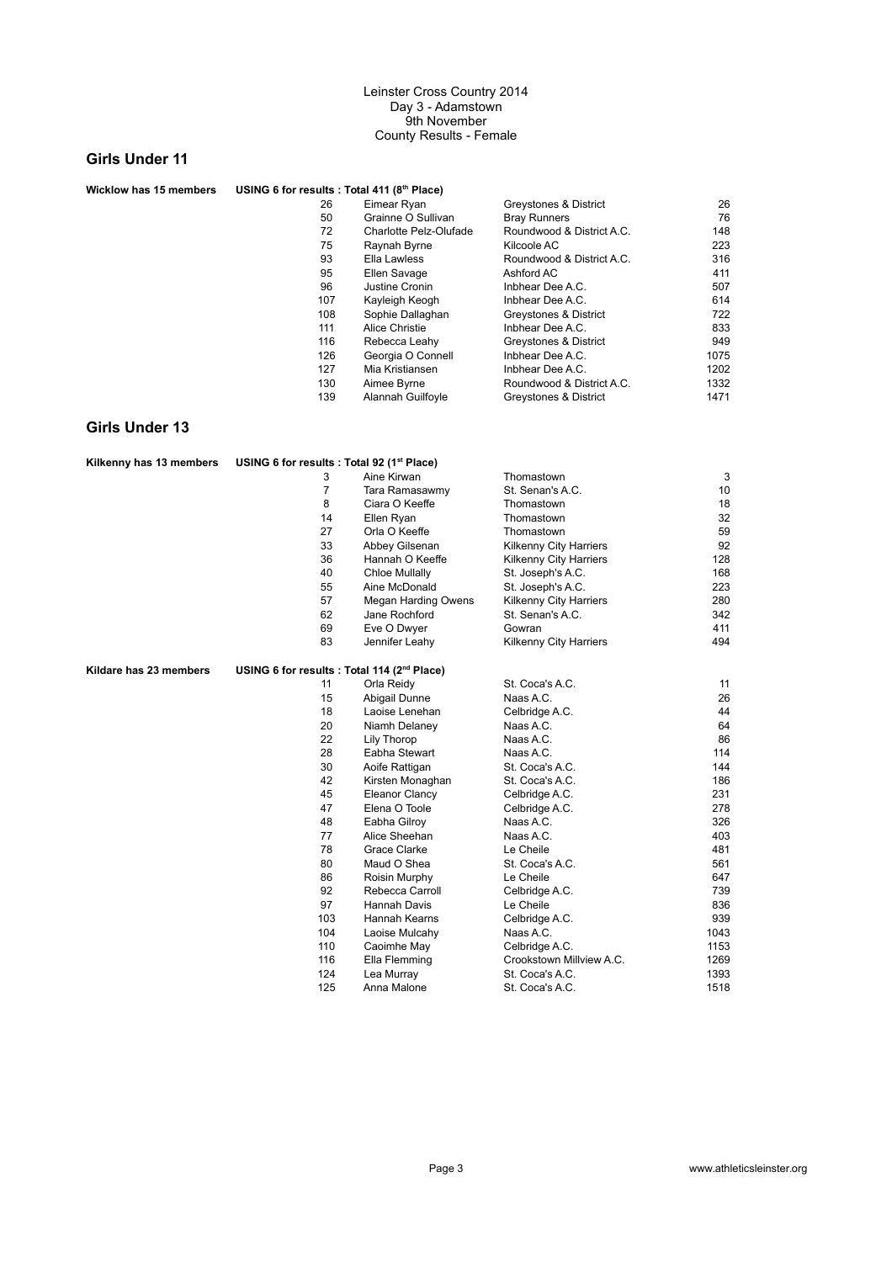## **Girls Under 11**

| <b>Wicklow has 15 members</b> | USING 6 for results : Total 411 (8th Place) |                          |                           |      |
|-------------------------------|---------------------------------------------|--------------------------|---------------------------|------|
|                               | 26                                          | Eimear Ryan              | Greystones & District     | 26   |
|                               | 50                                          | Grainne O Sullivan       | <b>Bray Runners</b>       | 76   |
|                               | 72                                          | Charlotte Pelz-Olufade   | Roundwood & District A.C. | 148  |
|                               | 75                                          | Raynah Byrne             | Kilcoole AC               | 223  |
|                               | 93                                          | Ella Lawless             | Roundwood & District A.C. | 316  |
|                               | 95                                          | Ellen Savage             | Ashford AC                | 411  |
|                               | 96                                          | Justine Cronin           | Inbhear Dee A.C.          | 507  |
|                               | 107                                         | Kayleigh Keogh           | Inbhear Dee A.C.          | 614  |
|                               | 108                                         | Sophie Dallaghan         | Greystones & District     | 722  |
|                               | 111                                         | Alice Christie           | Inbhear Dee A.C.          | 833  |
|                               | 116                                         | Rebecca Leahy            | Greystones & District     | 949  |
|                               | 126                                         | Georgia O Connell        | Inbhear Dee A.C.          | 1075 |
|                               | 127                                         | Mia Kristiansen          | Inbhear Dee A.C.          | 1202 |
|                               | 130                                         | Aimee Byrne              | Roundwood & District A.C. | 1332 |
|                               | 139                                         | <b>Alannah Guilfovle</b> | Greystones & District     | 1471 |

| Kilkenny has 13 members | USING 6 for results : Total 92 (1 <sup>st</sup> Place)  |                       |                          |      |
|-------------------------|---------------------------------------------------------|-----------------------|--------------------------|------|
|                         | 3                                                       | Aine Kirwan           | Thomastown               | 3    |
|                         | $\overline{7}$                                          | Tara Ramasawmy        | St. Senan's A.C.         | 10   |
|                         | 8                                                       | Ciara O Keeffe        | Thomastown               | 18   |
|                         | 14                                                      | Ellen Ryan            | Thomastown               | 32   |
|                         | 27                                                      | Orla O Keeffe         | Thomastown               | 59   |
|                         | 33                                                      | Abbey Gilsenan        | Kilkenny City Harriers   | 92   |
|                         | 36                                                      | Hannah O Keeffe       | Kilkenny City Harriers   | 128  |
|                         | 40                                                      | Chloe Mullally        | St. Joseph's A.C.        | 168  |
|                         | 55                                                      | Aine McDonald         | St. Joseph's A.C.        | 223  |
|                         | 57                                                      | Megan Harding Owens   | Kilkenny City Harriers   | 280  |
|                         | 62                                                      | Jane Rochford         | St. Senan's A.C.         | 342  |
|                         | 69                                                      | Eve O Dwyer           | Gowran                   | 411  |
|                         | 83                                                      | Jennifer Leahy        | Kilkenny City Harriers   | 494  |
| Kildare has 23 members  | USING 6 for results : Total 114 (2 <sup>nd</sup> Place) |                       |                          |      |
|                         | 11                                                      | Orla Reidy            | St. Coca's A.C.          | 11   |
|                         | 15                                                      | Abigail Dunne         | Naas A.C.                | 26   |
|                         | 18                                                      | Laoise Lenehan        | Celbridge A.C.           | 44   |
|                         | 20                                                      | Niamh Delaney         | Naas A.C.                | 64   |
|                         | 22                                                      | Lily Thorop           | Naas A.C.                | 86   |
|                         | 28                                                      | Eabha Stewart         | Naas A.C.                | 114  |
|                         | 30                                                      | Aoife Rattigan        | St. Coca's A.C.          | 144  |
|                         | 42                                                      | Kirsten Monaghan      | St. Coca's A.C.          | 186  |
|                         | 45                                                      | <b>Eleanor Clancy</b> | Celbridge A.C.           | 231  |
|                         | 47                                                      | Elena O Toole         | Celbridge A.C.           | 278  |
|                         | 48                                                      | Eabha Gilroy          | Naas A.C.                | 326  |
|                         | 77                                                      | Alice Sheehan         | Naas A.C.                | 403  |
|                         | 78                                                      | Grace Clarke          | Le Cheile                | 481  |
|                         | 80                                                      | Maud O Shea           | St. Coca's A.C.          | 561  |
|                         | 86                                                      | Roisin Murphy         | Le Cheile                | 647  |
|                         | 92                                                      | Rebecca Carroll       | Celbridge A.C.           | 739  |
|                         | 97                                                      | Hannah Davis          | Le Cheile                | 836  |
|                         | 103                                                     | <b>Hannah Kearns</b>  | Celbridge A.C.           | 939  |
|                         | 104                                                     | Laoise Mulcahy        | Naas A.C.                | 1043 |
|                         | 110                                                     | Caoimhe May           | Celbridge A.C.           | 1153 |
|                         | 116                                                     | Ella Flemming         | Crookstown Millview A.C. | 1269 |
|                         | 124                                                     | Lea Murray            | St. Coca's A.C.          | 1393 |
|                         | 125                                                     | Anna Malone           | St. Coca's A.C.          | 1518 |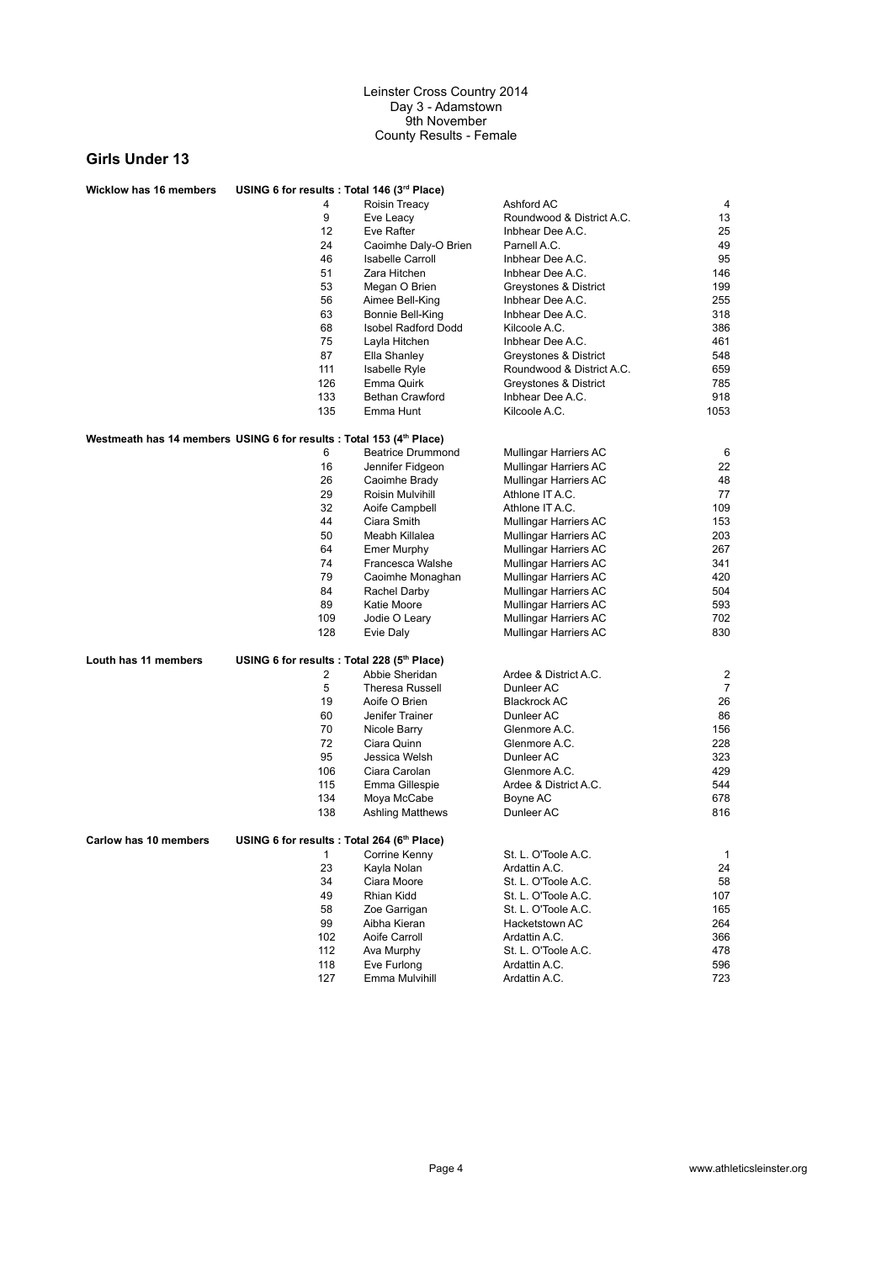| <b>Wicklow has 16 members</b>                                        | USING 6 for results : Total 146 (3rd Place) |                            |                                      |                |
|----------------------------------------------------------------------|---------------------------------------------|----------------------------|--------------------------------------|----------------|
|                                                                      | 4                                           | Roisin Treacy              | Ashford AC                           | 4              |
|                                                                      | 9                                           | Eve Leacy                  | Roundwood & District A.C.            | 13             |
|                                                                      | 12                                          | Eve Rafter                 | Inbhear Dee A.C.                     | 25             |
|                                                                      | 24                                          | Caoimhe Daly-O Brien       | Parnell A.C.                         | 49             |
|                                                                      | 46                                          | <b>Isabelle Carroll</b>    | Inbhear Dee A.C.                     | 95             |
|                                                                      | 51                                          | Zara Hitchen               | Inbhear Dee A.C.                     | 146            |
|                                                                      | 53                                          | Megan O Brien              | Greystones & District                | 199            |
|                                                                      | 56                                          | Aimee Bell-King            | Inbhear Dee A.C.                     | 255            |
|                                                                      | 63                                          | Bonnie Bell-King           | Inbhear Dee A.C.                     | 318            |
|                                                                      | 68                                          | <b>Isobel Radford Dodd</b> | Kilcoole A.C.                        | 386            |
|                                                                      | 75                                          | Layla Hitchen              | Inbhear Dee A.C.                     | 461            |
|                                                                      | 87                                          | Ella Shanley               | Greystones & District                | 548            |
|                                                                      | 111                                         | <b>Isabelle Ryle</b>       | Roundwood & District A.C.            | 659            |
|                                                                      | 126                                         | Emma Quirk                 | Greystones & District                | 785            |
|                                                                      | 133                                         | <b>Bethan Crawford</b>     | Inbhear Dee A.C.                     | 918            |
|                                                                      | 135                                         | Emma Hunt                  | Kilcoole A.C.                        | 1053           |
|                                                                      |                                             |                            |                                      |                |
| Westmeath has 14 members USING 6 for results : Total 153 (4th Place) |                                             |                            |                                      |                |
|                                                                      | 6                                           | <b>Beatrice Drummond</b>   | Mullingar Harriers AC                | 6              |
|                                                                      | 16                                          | Jennifer Fidgeon           | <b>Mullingar Harriers AC</b>         | 22             |
|                                                                      | 26                                          | Caoimhe Brady              | Mullingar Harriers AC                | 48             |
|                                                                      | 29                                          | Roisin Mulvihill           | Athlone IT A.C.                      | 77             |
|                                                                      | 32                                          | Aoife Campbell             | Athlone IT A.C.                      | 109            |
|                                                                      | 44                                          | Ciara Smith                | Mullingar Harriers AC                | 153            |
|                                                                      | 50                                          | Meabh Killalea             | <b>Mullingar Harriers AC</b>         | 203            |
|                                                                      | 64                                          | Emer Murphy                | Mullingar Harriers AC                | 267            |
|                                                                      | 74                                          | Francesca Walshe           | <b>Mullingar Harriers AC</b>         | 341            |
|                                                                      | 79                                          | Caoimhe Monaghan           | Mullingar Harriers AC                | 420            |
|                                                                      | 84                                          | Rachel Darby               | <b>Mullingar Harriers AC</b>         | 504            |
|                                                                      | 89                                          | Katie Moore                | Mullingar Harriers AC                | 593            |
|                                                                      | 109                                         | Jodie O Leary              | Mullingar Harriers AC                | 702            |
|                                                                      | 128                                         | Evie Daly                  | Mullingar Harriers AC                | 830            |
| Louth has 11 members                                                 | USING 6 for results : Total 228 (5th Place) |                            |                                      |                |
|                                                                      | 2                                           | Abbie Sheridan             | Ardee & District A.C.                | 2              |
|                                                                      | 5                                           | <b>Theresa Russell</b>     | Dunleer AC                           | $\overline{7}$ |
|                                                                      | 19                                          | Aoife O Brien              | <b>Blackrock AC</b>                  | 26             |
|                                                                      | 60                                          | Jenifer Trainer            | Dunleer AC                           | 86             |
|                                                                      | 70                                          | Nicole Barry               | Glenmore A.C.                        | 156            |
|                                                                      | 72                                          | Ciara Quinn                | Glenmore A.C.                        | 228            |
|                                                                      | 95                                          | Jessica Welsh              | Dunleer AC                           | 323            |
|                                                                      | 106                                         | Ciara Carolan              | Glenmore A.C.                        | 429            |
|                                                                      | 115                                         | Emma Gillespie             | Ardee & District A.C.                | 544            |
|                                                                      | 134                                         | Moya McCabe                |                                      | 678            |
|                                                                      | 138                                         | <b>Ashling Matthews</b>    | Boyne AC<br>Dunleer AC               | 816            |
|                                                                      |                                             |                            |                                      |                |
| Carlow has 10 members                                                | USING 6 for results : Total 264 (6th Place) | 1 Corrine Kenny            | St. L. O'Toole A.C                   | 1              |
|                                                                      | 23                                          | Kayla Nolan                |                                      |                |
|                                                                      | 34                                          | Ciara Moore                | Ardattin A.C.<br>St. L. O'Toole A.C. | 24<br>58       |
|                                                                      |                                             |                            |                                      |                |
|                                                                      | 49                                          | Rhian Kidd                 | St. L. O'Toole A.C.                  | 107            |
|                                                                      | 58                                          | Zoe Garrigan               | St. L. O'Toole A.C.                  | 165            |
|                                                                      | 99                                          | Aibha Kieran               | Hacketstown AC                       | 264            |
|                                                                      | 102                                         | Aoife Carroll              | Ardattin A.C.                        | 366            |
|                                                                      | 112                                         | Ava Murphy                 | St. L. O'Toole A.C.                  | 478            |
|                                                                      | 118                                         | Eve Furlong                | Ardattin A.C.                        | 596            |
|                                                                      | 127                                         | Emma Mulvihill             | Ardattin A.C.                        | 723            |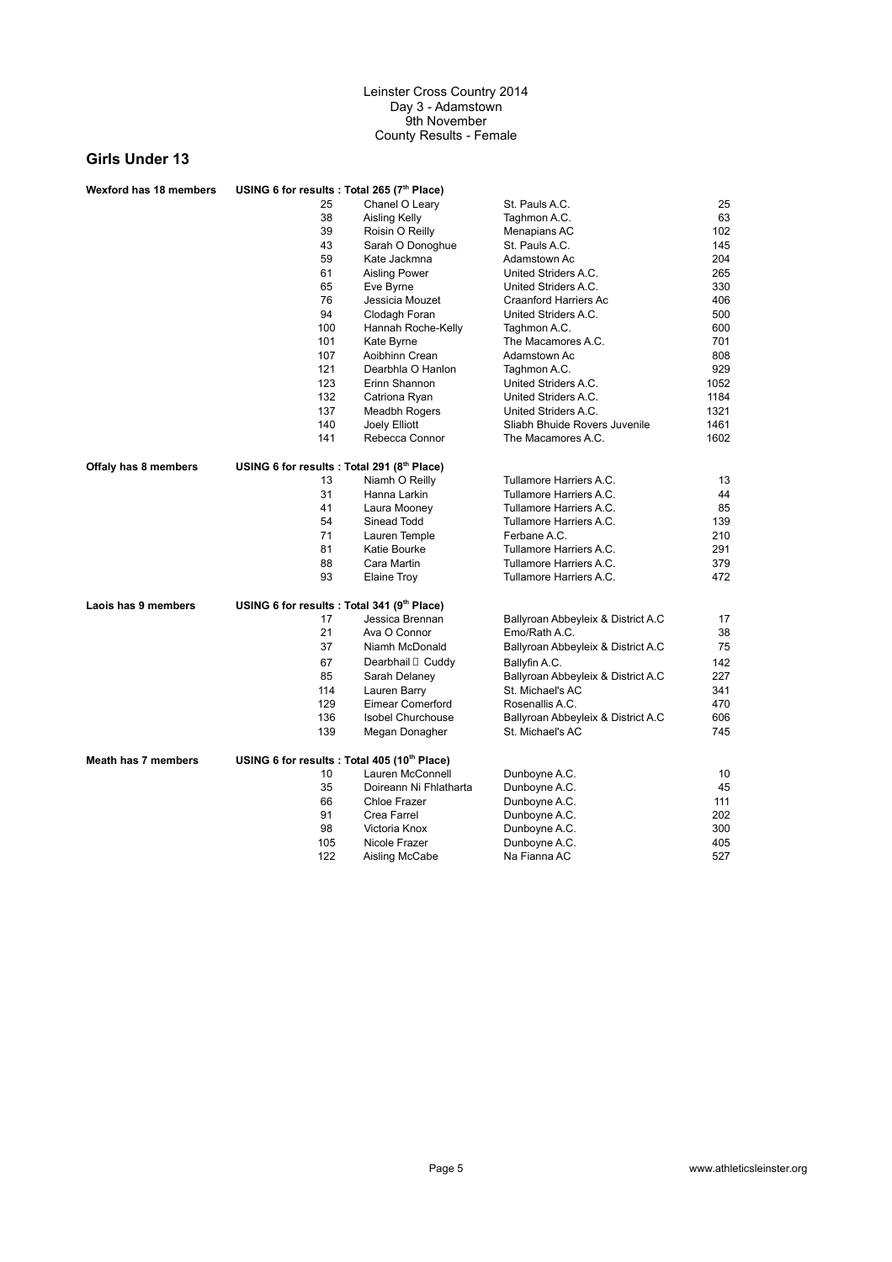| 25<br>Chanel O Leary<br>St. Pauls A.C.<br>25<br>63<br>38<br>Aisling Kelly<br>Taghmon A.C.<br>39<br>Roisin O Reilly<br>102<br>Menapians AC<br>43<br>Sarah O Donoghue<br>St. Pauls A.C.<br>145<br>59<br>204<br>Kate Jackmna<br>Adamstown Ac<br>61<br>Aisling Power<br>United Striders A.C.<br>265<br>65<br>Eve Byrne<br>United Striders A.C.<br>330<br>76<br>Jessicia Mouzet<br>Craanford Harriers Ac<br>406<br>94<br>United Striders A.C.<br>500<br>Clodagh Foran<br>100<br>Hannah Roche-Kelly<br>Taghmon A.C.<br>600<br>701<br>101<br>Kate Byrne<br>The Macamores A.C.<br>107<br>Aoibhinn Crean<br>Adamstown Ac<br>808<br>121<br>929<br>Dearbhla O Hanlon<br>Taghmon A.C.<br>123<br>Erinn Shannon<br>United Striders A.C.<br>1052<br>132<br>United Striders A.C.<br>Catriona Ryan<br>1184<br>137<br>United Striders A.C.<br>1321<br>Meadbh Rogers<br>140<br>Joely Elliott<br>Sliabh Bhuide Rovers Juvenile<br>1461<br>141<br>Rebecca Connor<br>The Macamores A.C.<br>1602<br>USING 6 for results: Total 291 (8th Place)<br><b>Offaly has 8 members</b><br>13<br>Tullamore Harriers A.C.<br>Niamh O Reilly<br>13<br>31<br>Tullamore Harriers A.C.<br>44<br>Hanna Larkin<br>85<br>41<br>Tullamore Harriers A.C.<br>Laura Mooney<br>54<br>Sinead Todd<br>Tullamore Harriers A.C.<br>139<br>71<br>Lauren Temple<br>Ferbane A.C.<br>210<br>81<br>Tullamore Harriers A.C.<br>291<br>Katie Bourke<br>88<br>Cara Martin<br>Tullamore Harriers A.C.<br>379<br>472<br>93<br><b>Elaine Troy</b><br>Tullamore Harriers A.C.<br>USING 6 for results : Total 341 (9th Place)<br>Laois has 9 members<br>17<br>Jessica Brennan<br>Ballyroan Abbeyleix & District A.C<br>17<br>21<br>38<br>Ava O Connor<br>Emo/Rath A.C.<br>75<br>37<br>Niamh McDonald<br>Ballyroan Abbeyleix & District A.C<br>67<br>142<br>Dearbhail <sup>[]</sup> Cuddy<br>Ballyfin A.C.<br>85<br>227<br>Ballyroan Abbeyleix & District A.C<br>Sarah Delaney<br>114<br>Lauren Barry<br>St. Michael's AC<br>341<br>129<br>470<br>Eimear Comerford<br>Rosenallis A.C.<br>606<br>136<br><b>Isobel Churchouse</b><br>Ballyroan Abbeyleix & District A.C<br>745<br>139<br>St. Michael's AC<br>Megan Donagher<br><b>Meath has 7 members</b><br>USING 6 for results : Total 405 (10th Place)<br>Lauren McConnell<br>10<br>10<br>Dunboyne A.C.<br>35<br>Doireann Ni Fhlatharta<br>45<br>Dunboyne A.C.<br>111<br>66<br>Chloe Frazer<br>Dunboyne A.C.<br>91<br>202<br>Crea Farrel<br>Dunboyne A.C.<br>98<br>300<br>Victoria Knox<br>Dunboyne A.C.<br>105<br>405<br>Nicole Frazer<br>Dunboyne A.C.<br>122<br>527<br>Aisling McCabe<br>Na Fianna AC | Wexford has 18 members | USING 6 for results : Total 265 (7th Place) |  |  |
|-------------------------------------------------------------------------------------------------------------------------------------------------------------------------------------------------------------------------------------------------------------------------------------------------------------------------------------------------------------------------------------------------------------------------------------------------------------------------------------------------------------------------------------------------------------------------------------------------------------------------------------------------------------------------------------------------------------------------------------------------------------------------------------------------------------------------------------------------------------------------------------------------------------------------------------------------------------------------------------------------------------------------------------------------------------------------------------------------------------------------------------------------------------------------------------------------------------------------------------------------------------------------------------------------------------------------------------------------------------------------------------------------------------------------------------------------------------------------------------------------------------------------------------------------------------------------------------------------------------------------------------------------------------------------------------------------------------------------------------------------------------------------------------------------------------------------------------------------------------------------------------------------------------------------------------------------------------------------------------------------------------------------------------------------------------------------------------------------------------------------------------------------------------------------------------------------------------------------------------------------------------------------------------------------------------------------------------------------------------------------------------------------------------------------------------------------------------------------------------------------------------------------------------------------------------------------------------------|------------------------|---------------------------------------------|--|--|
|                                                                                                                                                                                                                                                                                                                                                                                                                                                                                                                                                                                                                                                                                                                                                                                                                                                                                                                                                                                                                                                                                                                                                                                                                                                                                                                                                                                                                                                                                                                                                                                                                                                                                                                                                                                                                                                                                                                                                                                                                                                                                                                                                                                                                                                                                                                                                                                                                                                                                                                                                                                           |                        |                                             |  |  |
|                                                                                                                                                                                                                                                                                                                                                                                                                                                                                                                                                                                                                                                                                                                                                                                                                                                                                                                                                                                                                                                                                                                                                                                                                                                                                                                                                                                                                                                                                                                                                                                                                                                                                                                                                                                                                                                                                                                                                                                                                                                                                                                                                                                                                                                                                                                                                                                                                                                                                                                                                                                           |                        |                                             |  |  |
|                                                                                                                                                                                                                                                                                                                                                                                                                                                                                                                                                                                                                                                                                                                                                                                                                                                                                                                                                                                                                                                                                                                                                                                                                                                                                                                                                                                                                                                                                                                                                                                                                                                                                                                                                                                                                                                                                                                                                                                                                                                                                                                                                                                                                                                                                                                                                                                                                                                                                                                                                                                           |                        |                                             |  |  |
|                                                                                                                                                                                                                                                                                                                                                                                                                                                                                                                                                                                                                                                                                                                                                                                                                                                                                                                                                                                                                                                                                                                                                                                                                                                                                                                                                                                                                                                                                                                                                                                                                                                                                                                                                                                                                                                                                                                                                                                                                                                                                                                                                                                                                                                                                                                                                                                                                                                                                                                                                                                           |                        |                                             |  |  |
|                                                                                                                                                                                                                                                                                                                                                                                                                                                                                                                                                                                                                                                                                                                                                                                                                                                                                                                                                                                                                                                                                                                                                                                                                                                                                                                                                                                                                                                                                                                                                                                                                                                                                                                                                                                                                                                                                                                                                                                                                                                                                                                                                                                                                                                                                                                                                                                                                                                                                                                                                                                           |                        |                                             |  |  |
|                                                                                                                                                                                                                                                                                                                                                                                                                                                                                                                                                                                                                                                                                                                                                                                                                                                                                                                                                                                                                                                                                                                                                                                                                                                                                                                                                                                                                                                                                                                                                                                                                                                                                                                                                                                                                                                                                                                                                                                                                                                                                                                                                                                                                                                                                                                                                                                                                                                                                                                                                                                           |                        |                                             |  |  |
|                                                                                                                                                                                                                                                                                                                                                                                                                                                                                                                                                                                                                                                                                                                                                                                                                                                                                                                                                                                                                                                                                                                                                                                                                                                                                                                                                                                                                                                                                                                                                                                                                                                                                                                                                                                                                                                                                                                                                                                                                                                                                                                                                                                                                                                                                                                                                                                                                                                                                                                                                                                           |                        |                                             |  |  |
|                                                                                                                                                                                                                                                                                                                                                                                                                                                                                                                                                                                                                                                                                                                                                                                                                                                                                                                                                                                                                                                                                                                                                                                                                                                                                                                                                                                                                                                                                                                                                                                                                                                                                                                                                                                                                                                                                                                                                                                                                                                                                                                                                                                                                                                                                                                                                                                                                                                                                                                                                                                           |                        |                                             |  |  |
|                                                                                                                                                                                                                                                                                                                                                                                                                                                                                                                                                                                                                                                                                                                                                                                                                                                                                                                                                                                                                                                                                                                                                                                                                                                                                                                                                                                                                                                                                                                                                                                                                                                                                                                                                                                                                                                                                                                                                                                                                                                                                                                                                                                                                                                                                                                                                                                                                                                                                                                                                                                           |                        |                                             |  |  |
|                                                                                                                                                                                                                                                                                                                                                                                                                                                                                                                                                                                                                                                                                                                                                                                                                                                                                                                                                                                                                                                                                                                                                                                                                                                                                                                                                                                                                                                                                                                                                                                                                                                                                                                                                                                                                                                                                                                                                                                                                                                                                                                                                                                                                                                                                                                                                                                                                                                                                                                                                                                           |                        |                                             |  |  |
|                                                                                                                                                                                                                                                                                                                                                                                                                                                                                                                                                                                                                                                                                                                                                                                                                                                                                                                                                                                                                                                                                                                                                                                                                                                                                                                                                                                                                                                                                                                                                                                                                                                                                                                                                                                                                                                                                                                                                                                                                                                                                                                                                                                                                                                                                                                                                                                                                                                                                                                                                                                           |                        |                                             |  |  |
|                                                                                                                                                                                                                                                                                                                                                                                                                                                                                                                                                                                                                                                                                                                                                                                                                                                                                                                                                                                                                                                                                                                                                                                                                                                                                                                                                                                                                                                                                                                                                                                                                                                                                                                                                                                                                                                                                                                                                                                                                                                                                                                                                                                                                                                                                                                                                                                                                                                                                                                                                                                           |                        |                                             |  |  |
|                                                                                                                                                                                                                                                                                                                                                                                                                                                                                                                                                                                                                                                                                                                                                                                                                                                                                                                                                                                                                                                                                                                                                                                                                                                                                                                                                                                                                                                                                                                                                                                                                                                                                                                                                                                                                                                                                                                                                                                                                                                                                                                                                                                                                                                                                                                                                                                                                                                                                                                                                                                           |                        |                                             |  |  |
|                                                                                                                                                                                                                                                                                                                                                                                                                                                                                                                                                                                                                                                                                                                                                                                                                                                                                                                                                                                                                                                                                                                                                                                                                                                                                                                                                                                                                                                                                                                                                                                                                                                                                                                                                                                                                                                                                                                                                                                                                                                                                                                                                                                                                                                                                                                                                                                                                                                                                                                                                                                           |                        |                                             |  |  |
|                                                                                                                                                                                                                                                                                                                                                                                                                                                                                                                                                                                                                                                                                                                                                                                                                                                                                                                                                                                                                                                                                                                                                                                                                                                                                                                                                                                                                                                                                                                                                                                                                                                                                                                                                                                                                                                                                                                                                                                                                                                                                                                                                                                                                                                                                                                                                                                                                                                                                                                                                                                           |                        |                                             |  |  |
|                                                                                                                                                                                                                                                                                                                                                                                                                                                                                                                                                                                                                                                                                                                                                                                                                                                                                                                                                                                                                                                                                                                                                                                                                                                                                                                                                                                                                                                                                                                                                                                                                                                                                                                                                                                                                                                                                                                                                                                                                                                                                                                                                                                                                                                                                                                                                                                                                                                                                                                                                                                           |                        |                                             |  |  |
|                                                                                                                                                                                                                                                                                                                                                                                                                                                                                                                                                                                                                                                                                                                                                                                                                                                                                                                                                                                                                                                                                                                                                                                                                                                                                                                                                                                                                                                                                                                                                                                                                                                                                                                                                                                                                                                                                                                                                                                                                                                                                                                                                                                                                                                                                                                                                                                                                                                                                                                                                                                           |                        |                                             |  |  |
|                                                                                                                                                                                                                                                                                                                                                                                                                                                                                                                                                                                                                                                                                                                                                                                                                                                                                                                                                                                                                                                                                                                                                                                                                                                                                                                                                                                                                                                                                                                                                                                                                                                                                                                                                                                                                                                                                                                                                                                                                                                                                                                                                                                                                                                                                                                                                                                                                                                                                                                                                                                           |                        |                                             |  |  |
|                                                                                                                                                                                                                                                                                                                                                                                                                                                                                                                                                                                                                                                                                                                                                                                                                                                                                                                                                                                                                                                                                                                                                                                                                                                                                                                                                                                                                                                                                                                                                                                                                                                                                                                                                                                                                                                                                                                                                                                                                                                                                                                                                                                                                                                                                                                                                                                                                                                                                                                                                                                           |                        |                                             |  |  |
|                                                                                                                                                                                                                                                                                                                                                                                                                                                                                                                                                                                                                                                                                                                                                                                                                                                                                                                                                                                                                                                                                                                                                                                                                                                                                                                                                                                                                                                                                                                                                                                                                                                                                                                                                                                                                                                                                                                                                                                                                                                                                                                                                                                                                                                                                                                                                                                                                                                                                                                                                                                           |                        |                                             |  |  |
|                                                                                                                                                                                                                                                                                                                                                                                                                                                                                                                                                                                                                                                                                                                                                                                                                                                                                                                                                                                                                                                                                                                                                                                                                                                                                                                                                                                                                                                                                                                                                                                                                                                                                                                                                                                                                                                                                                                                                                                                                                                                                                                                                                                                                                                                                                                                                                                                                                                                                                                                                                                           |                        |                                             |  |  |
|                                                                                                                                                                                                                                                                                                                                                                                                                                                                                                                                                                                                                                                                                                                                                                                                                                                                                                                                                                                                                                                                                                                                                                                                                                                                                                                                                                                                                                                                                                                                                                                                                                                                                                                                                                                                                                                                                                                                                                                                                                                                                                                                                                                                                                                                                                                                                                                                                                                                                                                                                                                           |                        |                                             |  |  |
|                                                                                                                                                                                                                                                                                                                                                                                                                                                                                                                                                                                                                                                                                                                                                                                                                                                                                                                                                                                                                                                                                                                                                                                                                                                                                                                                                                                                                                                                                                                                                                                                                                                                                                                                                                                                                                                                                                                                                                                                                                                                                                                                                                                                                                                                                                                                                                                                                                                                                                                                                                                           |                        |                                             |  |  |
|                                                                                                                                                                                                                                                                                                                                                                                                                                                                                                                                                                                                                                                                                                                                                                                                                                                                                                                                                                                                                                                                                                                                                                                                                                                                                                                                                                                                                                                                                                                                                                                                                                                                                                                                                                                                                                                                                                                                                                                                                                                                                                                                                                                                                                                                                                                                                                                                                                                                                                                                                                                           |                        |                                             |  |  |
|                                                                                                                                                                                                                                                                                                                                                                                                                                                                                                                                                                                                                                                                                                                                                                                                                                                                                                                                                                                                                                                                                                                                                                                                                                                                                                                                                                                                                                                                                                                                                                                                                                                                                                                                                                                                                                                                                                                                                                                                                                                                                                                                                                                                                                                                                                                                                                                                                                                                                                                                                                                           |                        |                                             |  |  |
|                                                                                                                                                                                                                                                                                                                                                                                                                                                                                                                                                                                                                                                                                                                                                                                                                                                                                                                                                                                                                                                                                                                                                                                                                                                                                                                                                                                                                                                                                                                                                                                                                                                                                                                                                                                                                                                                                                                                                                                                                                                                                                                                                                                                                                                                                                                                                                                                                                                                                                                                                                                           |                        |                                             |  |  |
|                                                                                                                                                                                                                                                                                                                                                                                                                                                                                                                                                                                                                                                                                                                                                                                                                                                                                                                                                                                                                                                                                                                                                                                                                                                                                                                                                                                                                                                                                                                                                                                                                                                                                                                                                                                                                                                                                                                                                                                                                                                                                                                                                                                                                                                                                                                                                                                                                                                                                                                                                                                           |                        |                                             |  |  |
|                                                                                                                                                                                                                                                                                                                                                                                                                                                                                                                                                                                                                                                                                                                                                                                                                                                                                                                                                                                                                                                                                                                                                                                                                                                                                                                                                                                                                                                                                                                                                                                                                                                                                                                                                                                                                                                                                                                                                                                                                                                                                                                                                                                                                                                                                                                                                                                                                                                                                                                                                                                           |                        |                                             |  |  |
|                                                                                                                                                                                                                                                                                                                                                                                                                                                                                                                                                                                                                                                                                                                                                                                                                                                                                                                                                                                                                                                                                                                                                                                                                                                                                                                                                                                                                                                                                                                                                                                                                                                                                                                                                                                                                                                                                                                                                                                                                                                                                                                                                                                                                                                                                                                                                                                                                                                                                                                                                                                           |                        |                                             |  |  |
|                                                                                                                                                                                                                                                                                                                                                                                                                                                                                                                                                                                                                                                                                                                                                                                                                                                                                                                                                                                                                                                                                                                                                                                                                                                                                                                                                                                                                                                                                                                                                                                                                                                                                                                                                                                                                                                                                                                                                                                                                                                                                                                                                                                                                                                                                                                                                                                                                                                                                                                                                                                           |                        |                                             |  |  |
|                                                                                                                                                                                                                                                                                                                                                                                                                                                                                                                                                                                                                                                                                                                                                                                                                                                                                                                                                                                                                                                                                                                                                                                                                                                                                                                                                                                                                                                                                                                                                                                                                                                                                                                                                                                                                                                                                                                                                                                                                                                                                                                                                                                                                                                                                                                                                                                                                                                                                                                                                                                           |                        |                                             |  |  |
|                                                                                                                                                                                                                                                                                                                                                                                                                                                                                                                                                                                                                                                                                                                                                                                                                                                                                                                                                                                                                                                                                                                                                                                                                                                                                                                                                                                                                                                                                                                                                                                                                                                                                                                                                                                                                                                                                                                                                                                                                                                                                                                                                                                                                                                                                                                                                                                                                                                                                                                                                                                           |                        |                                             |  |  |
|                                                                                                                                                                                                                                                                                                                                                                                                                                                                                                                                                                                                                                                                                                                                                                                                                                                                                                                                                                                                                                                                                                                                                                                                                                                                                                                                                                                                                                                                                                                                                                                                                                                                                                                                                                                                                                                                                                                                                                                                                                                                                                                                                                                                                                                                                                                                                                                                                                                                                                                                                                                           |                        |                                             |  |  |
|                                                                                                                                                                                                                                                                                                                                                                                                                                                                                                                                                                                                                                                                                                                                                                                                                                                                                                                                                                                                                                                                                                                                                                                                                                                                                                                                                                                                                                                                                                                                                                                                                                                                                                                                                                                                                                                                                                                                                                                                                                                                                                                                                                                                                                                                                                                                                                                                                                                                                                                                                                                           |                        |                                             |  |  |
|                                                                                                                                                                                                                                                                                                                                                                                                                                                                                                                                                                                                                                                                                                                                                                                                                                                                                                                                                                                                                                                                                                                                                                                                                                                                                                                                                                                                                                                                                                                                                                                                                                                                                                                                                                                                                                                                                                                                                                                                                                                                                                                                                                                                                                                                                                                                                                                                                                                                                                                                                                                           |                        |                                             |  |  |
|                                                                                                                                                                                                                                                                                                                                                                                                                                                                                                                                                                                                                                                                                                                                                                                                                                                                                                                                                                                                                                                                                                                                                                                                                                                                                                                                                                                                                                                                                                                                                                                                                                                                                                                                                                                                                                                                                                                                                                                                                                                                                                                                                                                                                                                                                                                                                                                                                                                                                                                                                                                           |                        |                                             |  |  |
|                                                                                                                                                                                                                                                                                                                                                                                                                                                                                                                                                                                                                                                                                                                                                                                                                                                                                                                                                                                                                                                                                                                                                                                                                                                                                                                                                                                                                                                                                                                                                                                                                                                                                                                                                                                                                                                                                                                                                                                                                                                                                                                                                                                                                                                                                                                                                                                                                                                                                                                                                                                           |                        |                                             |  |  |
|                                                                                                                                                                                                                                                                                                                                                                                                                                                                                                                                                                                                                                                                                                                                                                                                                                                                                                                                                                                                                                                                                                                                                                                                                                                                                                                                                                                                                                                                                                                                                                                                                                                                                                                                                                                                                                                                                                                                                                                                                                                                                                                                                                                                                                                                                                                                                                                                                                                                                                                                                                                           |                        |                                             |  |  |
|                                                                                                                                                                                                                                                                                                                                                                                                                                                                                                                                                                                                                                                                                                                                                                                                                                                                                                                                                                                                                                                                                                                                                                                                                                                                                                                                                                                                                                                                                                                                                                                                                                                                                                                                                                                                                                                                                                                                                                                                                                                                                                                                                                                                                                                                                                                                                                                                                                                                                                                                                                                           |                        |                                             |  |  |
|                                                                                                                                                                                                                                                                                                                                                                                                                                                                                                                                                                                                                                                                                                                                                                                                                                                                                                                                                                                                                                                                                                                                                                                                                                                                                                                                                                                                                                                                                                                                                                                                                                                                                                                                                                                                                                                                                                                                                                                                                                                                                                                                                                                                                                                                                                                                                                                                                                                                                                                                                                                           |                        |                                             |  |  |
|                                                                                                                                                                                                                                                                                                                                                                                                                                                                                                                                                                                                                                                                                                                                                                                                                                                                                                                                                                                                                                                                                                                                                                                                                                                                                                                                                                                                                                                                                                                                                                                                                                                                                                                                                                                                                                                                                                                                                                                                                                                                                                                                                                                                                                                                                                                                                                                                                                                                                                                                                                                           |                        |                                             |  |  |
|                                                                                                                                                                                                                                                                                                                                                                                                                                                                                                                                                                                                                                                                                                                                                                                                                                                                                                                                                                                                                                                                                                                                                                                                                                                                                                                                                                                                                                                                                                                                                                                                                                                                                                                                                                                                                                                                                                                                                                                                                                                                                                                                                                                                                                                                                                                                                                                                                                                                                                                                                                                           |                        |                                             |  |  |
|                                                                                                                                                                                                                                                                                                                                                                                                                                                                                                                                                                                                                                                                                                                                                                                                                                                                                                                                                                                                                                                                                                                                                                                                                                                                                                                                                                                                                                                                                                                                                                                                                                                                                                                                                                                                                                                                                                                                                                                                                                                                                                                                                                                                                                                                                                                                                                                                                                                                                                                                                                                           |                        |                                             |  |  |
|                                                                                                                                                                                                                                                                                                                                                                                                                                                                                                                                                                                                                                                                                                                                                                                                                                                                                                                                                                                                                                                                                                                                                                                                                                                                                                                                                                                                                                                                                                                                                                                                                                                                                                                                                                                                                                                                                                                                                                                                                                                                                                                                                                                                                                                                                                                                                                                                                                                                                                                                                                                           |                        |                                             |  |  |
|                                                                                                                                                                                                                                                                                                                                                                                                                                                                                                                                                                                                                                                                                                                                                                                                                                                                                                                                                                                                                                                                                                                                                                                                                                                                                                                                                                                                                                                                                                                                                                                                                                                                                                                                                                                                                                                                                                                                                                                                                                                                                                                                                                                                                                                                                                                                                                                                                                                                                                                                                                                           |                        |                                             |  |  |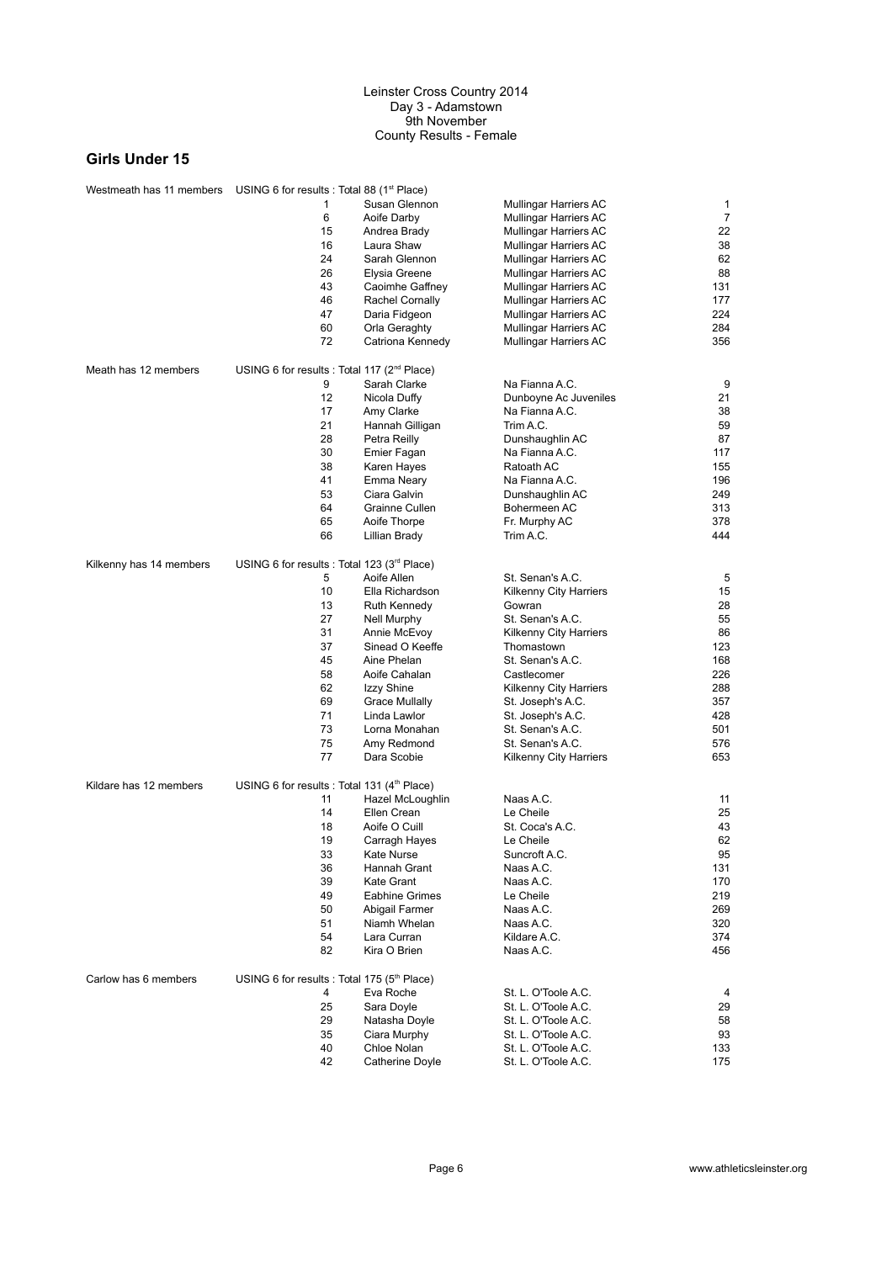| Westmeath has 11 members USING 6 for results : Total 88 (1 <sup>st</sup> Place) |                                                         |                        |                               |                |
|---------------------------------------------------------------------------------|---------------------------------------------------------|------------------------|-------------------------------|----------------|
|                                                                                 | 1                                                       | Susan Glennon          | <b>Mullingar Harriers AC</b>  | 1              |
|                                                                                 | 6                                                       | Aoife Darby            | <b>Mullingar Harriers AC</b>  | $\overline{7}$ |
|                                                                                 | 15                                                      | Andrea Brady           | <b>Mullingar Harriers AC</b>  | 22             |
|                                                                                 | 16                                                      | Laura Shaw             | Mullingar Harriers AC         | 38             |
|                                                                                 | 24                                                      | Sarah Glennon          | <b>Mullingar Harriers AC</b>  | 62             |
|                                                                                 | 26                                                      | Elysia Greene          | Mullingar Harriers AC         | 88             |
|                                                                                 | 43                                                      | Caoimhe Gaffney        | Mullingar Harriers AC         | 131            |
|                                                                                 | 46                                                      | <b>Rachel Cornally</b> | Mullingar Harriers AC         | 177            |
|                                                                                 | 47                                                      | Daria Fidgeon          | Mullingar Harriers AC         | 224            |
|                                                                                 | 60                                                      | Orla Geraghty          | Mullingar Harriers AC         | 284            |
|                                                                                 | 72                                                      | Catriona Kennedy       | Mullingar Harriers AC         | 356            |
|                                                                                 |                                                         |                        |                               |                |
| Meath has 12 members                                                            | USING 6 for results : Total 117 (2 <sup>nd</sup> Place) |                        |                               |                |
|                                                                                 | 9                                                       | Sarah Clarke           | Na Fianna A.C.                | 9              |
|                                                                                 | 12                                                      | Nicola Duffy           | Dunboyne Ac Juveniles         | 21             |
|                                                                                 | 17                                                      | Amy Clarke             | Na Fianna A.C.                | 38             |
|                                                                                 | 21                                                      | Hannah Gilligan        | Trim A.C.                     | 59             |
|                                                                                 | 28                                                      | Petra Reilly           | Dunshaughlin AC               | 87             |
|                                                                                 | 30                                                      | Emier Fagan            | Na Fianna A.C.                | 117            |
|                                                                                 | 38                                                      | Karen Hayes            | Ratoath AC                    | 155            |
|                                                                                 | 41                                                      | Emma Neary             | Na Fianna A.C.                | 196            |
|                                                                                 | 53                                                      | Ciara Galvin           | Dunshaughlin AC               | 249            |
|                                                                                 | 64                                                      | Grainne Cullen         | Bohermeen AC                  | 313            |
|                                                                                 | 65                                                      | Aoife Thorpe           | Fr. Murphy AC                 | 378            |
|                                                                                 | 66                                                      | Lillian Brady          | Trim A.C.                     | 444            |
|                                                                                 |                                                         |                        |                               |                |
| Kilkenny has 14 members                                                         | USING 6 for results : Total 123 $(3rd$ Place)           |                        |                               |                |
|                                                                                 | 5                                                       | Aoife Allen            | St. Senan's A.C.              | 5              |
|                                                                                 | 10                                                      | Ella Richardson        | <b>Kilkenny City Harriers</b> | 15             |
|                                                                                 | 13                                                      | Ruth Kennedy           | Gowran                        | 28             |
|                                                                                 | 27                                                      | Nell Murphy            | St. Senan's A.C.              | 55             |
|                                                                                 | 31                                                      | Annie McEvoy           | <b>Kilkenny City Harriers</b> | 86             |
|                                                                                 | 37                                                      | Sinead O Keeffe        | Thomastown                    | 123            |
|                                                                                 | 45                                                      | Aine Phelan            | St. Senan's A.C.              | 168            |
|                                                                                 | 58                                                      | Aoife Cahalan          | Castlecomer                   | 226            |
|                                                                                 | 62                                                      | Izzy Shine             | <b>Kilkenny City Harriers</b> | 288            |
|                                                                                 | 69                                                      | <b>Grace Mullally</b>  | St. Joseph's A.C.             | 357            |
|                                                                                 | 71                                                      | Linda Lawlor           | St. Joseph's A.C.             | 428            |
|                                                                                 | 73                                                      | Lorna Monahan          | St. Senan's A.C.              | 501            |
|                                                                                 | 75                                                      | Amy Redmond            | St. Senan's A.C.              | 576            |
|                                                                                 | 77                                                      | Dara Scobie            | <b>Kilkenny City Harriers</b> | 653            |
|                                                                                 |                                                         |                        |                               |                |
| Kildare has 12 members                                                          | USING 6 for results : Total 131 $(4th$ Place)           |                        |                               |                |
|                                                                                 | 11                                                      | Hazel McLoughlin       | Naas A.C.                     | 11             |
|                                                                                 | 14                                                      | Ellen Crean            | Le Cheile                     | 25             |
|                                                                                 | 18                                                      | Aoife O Cuill          | St. Coca's A.C.               | 43             |
|                                                                                 | 19                                                      | Carragh Hayes          | Le Cheile                     | 62             |
|                                                                                 | 33                                                      | Kate Nurse             | Suncroft A.C.                 | 95             |
|                                                                                 | 36                                                      | Hannah Grant           | Naas A.C.                     | 131            |
|                                                                                 | 39                                                      | Kate Grant             | Naas A.C.                     | 170            |
|                                                                                 | 49                                                      | <b>Eabhine Grimes</b>  | Le Cheile                     | 219            |
|                                                                                 | 50                                                      | Abigail Farmer         | Naas A.C.                     | 269            |
|                                                                                 | 51                                                      | Niamh Whelan           | Naas A.C.                     | 320            |
|                                                                                 | 54                                                      | Lara Curran            | Kildare A.C.                  | 374            |
|                                                                                 | 82                                                      | Kira O Brien           | Naas A.C.                     | 456            |
|                                                                                 |                                                         |                        |                               |                |
| Carlow has 6 members                                                            | USING 6 for results : Total 175 ( $5th$ Place)          |                        |                               |                |
|                                                                                 | 4                                                       | Eva Roche              | St. L. O'Toole A.C.           | 4              |
|                                                                                 | 25                                                      | Sara Doyle             | St. L. O'Toole A.C.           | 29             |
|                                                                                 | 29                                                      | Natasha Doyle          | St. L. O'Toole A.C.           | 58             |
|                                                                                 | 35                                                      | Ciara Murphy           | St. L. O'Toole A.C.           | 93             |
|                                                                                 | 40                                                      | Chloe Nolan            | St. L. O'Toole A.C.           | 133            |
|                                                                                 | 42                                                      | Catherine Doyle        | St. L. O'Toole A.C.           | 175            |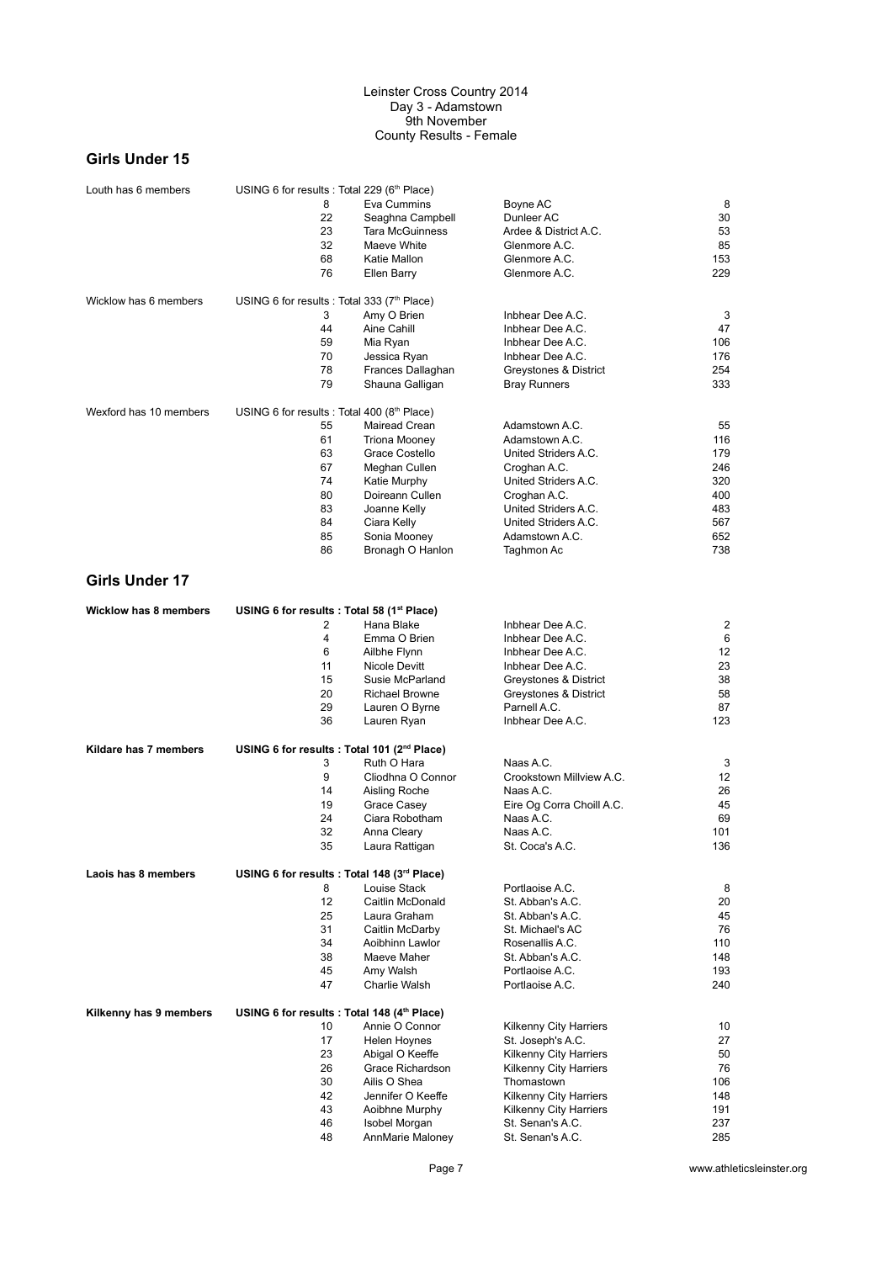## **Girls Under 15**

| Louth has 6 members          | USING 6 for results : Total 229 (6th Place)             |                        |                           |     |
|------------------------------|---------------------------------------------------------|------------------------|---------------------------|-----|
|                              | 8                                                       | Eva Cummins            | Boyne AC                  | 8   |
|                              | 22                                                      | Seaghna Campbell       | Dunleer AC                | 30  |
|                              | 23                                                      | <b>Tara McGuinness</b> | Ardee & District A.C.     | 53  |
|                              | 32                                                      | Maeve White            | Glenmore A.C.             | 85  |
|                              | 68                                                      | Katie Mallon           | Glenmore A.C.             | 153 |
|                              | 76                                                      | Ellen Barry            | Glenmore A.C.             | 229 |
| Wicklow has 6 members        | USING 6 for results : Total 333 (7 <sup>th</sup> Place) |                        |                           |     |
|                              | 3                                                       | Amy O Brien            | Inbhear Dee A.C.          | 3   |
|                              | 44                                                      | Aine Cahill            | Inbhear Dee A.C.          | 47  |
|                              | 59                                                      | Mia Ryan               | Inbhear Dee A.C.          | 106 |
|                              | 70                                                      | Jessica Ryan           | Inbhear Dee A.C.          | 176 |
|                              | 78                                                      | Frances Dallaghan      | Greystones & District     | 254 |
|                              | 79                                                      | Shauna Galligan        | <b>Bray Runners</b>       | 333 |
| Wexford has 10 members       | USING 6 for results : Total 400 (8th Place)             |                        |                           |     |
|                              | 55                                                      |                        |                           |     |
|                              |                                                         | Mairead Crean          | Adamstown A.C.            | 55  |
|                              | 61<br>63                                                | <b>Triona Mooney</b>   | Adamstown A.C.            | 116 |
|                              |                                                         | Grace Costello         | United Striders A.C.      | 179 |
|                              | 67                                                      | Meghan Cullen          | Croghan A.C.              | 246 |
|                              | 74                                                      | Katie Murphy           | United Striders A.C.      | 320 |
|                              | 80                                                      | Doireann Cullen        | Croghan A.C.              | 400 |
|                              | 83                                                      | Joanne Kelly           | United Striders A.C.      | 483 |
|                              | 84                                                      | Ciara Kelly            | United Striders A.C.      | 567 |
|                              | 85                                                      | Sonia Mooney           | Adamstown A.C.            | 652 |
|                              | 86                                                      | Bronagh O Hanlon       | Taghmon Ac                | 738 |
| <b>Girls Under 17</b>        |                                                         |                        |                           |     |
| <b>Wicklow has 8 members</b> | USING 6 for results : Total 58 (1st Place)              |                        |                           |     |
|                              | 2                                                       | Hana Blake             | Inbhear Dee A.C.          | 2   |
|                              | 4                                                       | Emma O Brien           | Inbhear Dee A.C.          | 6   |
|                              | 6                                                       | Ailbhe Flynn           | Inbhear Dee A.C.          | 12  |
|                              | 11                                                      | Nicole Devitt          | Inbhear Dee A.C.          | 23  |
|                              | 15                                                      | Susie McParland        | Greystones & District     | 38  |
|                              | 20                                                      | <b>Richael Browne</b>  | Greystones & District     | 58  |
|                              | 29                                                      | Lauren O Byrne         | Parnell A.C.              | 87  |
|                              | 36                                                      | Lauren Ryan            | Inbhear Dee A.C.          | 123 |
| Kildare has 7 members        | USING 6 for results : Total 101 (2 <sup>nd</sup> Place) |                        |                           |     |
|                              | 3                                                       | Ruth O Hara            | Naas A.C.                 | 3   |
|                              | 9                                                       | Cliodhna O Connor      | Crookstown Millview A.C.  | 12  |
|                              | 14                                                      | Aisling Roche          | Naas A.C.                 | 26  |
|                              | 19                                                      | Grace Casey            | Eire Og Corra Choill A.C. | 45  |
|                              | 24                                                      | Ciara Robotham         | Naas A.C.                 | 69  |
|                              | 32                                                      | Anna Cleary            | Naas A.C.                 | 101 |
|                              | 35                                                      | Laura Rattigan         | St. Coca's A.C.           | 136 |
| Laois has 8 members          | USING 6 for results : Total 148 (3rd Place)             |                        |                           |     |
|                              | 8                                                       | Louise Stack           | Portlaoise A.C.           | 8   |
|                              | 12                                                      | Caitlin McDonald       | St. Abban's A.C.          | 20  |
|                              | 25                                                      | Laura Graham           | St. Abban's A.C.          | 45  |
|                              | 31                                                      | Caitlin McDarby        | St. Michael's AC          | 76  |
|                              | 34                                                      | Aoibhinn Lawlor        | Rosenallis A.C.           | 110 |
|                              | 38                                                      | Maeve Maher            | St. Abban's A.C.          | 148 |
|                              | 45                                                      | Amy Walsh              | Portlaoise A.C.           | 193 |
|                              | 47                                                      | Charlie Walsh          | Portlaoise A.C.           | 240 |
| Kilkenny has 9 members       | USING 6 for results : Total 148 (4th Place)             |                        |                           |     |
|                              | 10                                                      | Annie O Connor         | Kilkenny City Harriers    | 10  |
|                              | 17                                                      | Helen Hoynes           | St. Joseph's A.C.         | 27  |
|                              | 23                                                      | Abigal O Keeffe        | Kilkenny City Harriers    | 50  |
|                              | 26                                                      | Grace Richardson       | Kilkenny City Harriers    | 76  |
|                              | 30                                                      | Ailis O Shea           | Thomastown                | 106 |
|                              | 42                                                      | Jennifer O Keeffe      | Kilkenny City Harriers    | 148 |
|                              | 43                                                      | Aoibhne Murphy         | Kilkenny City Harriers    | 191 |
|                              | 46                                                      | Isobel Morgan          | St. Senan's A.C.          | 237 |
|                              | 48                                                      | AnnMarie Maloney       | St. Senan's A.C.          | 285 |
|                              |                                                         |                        |                           |     |

Page 7 www.athleticsleinster.org